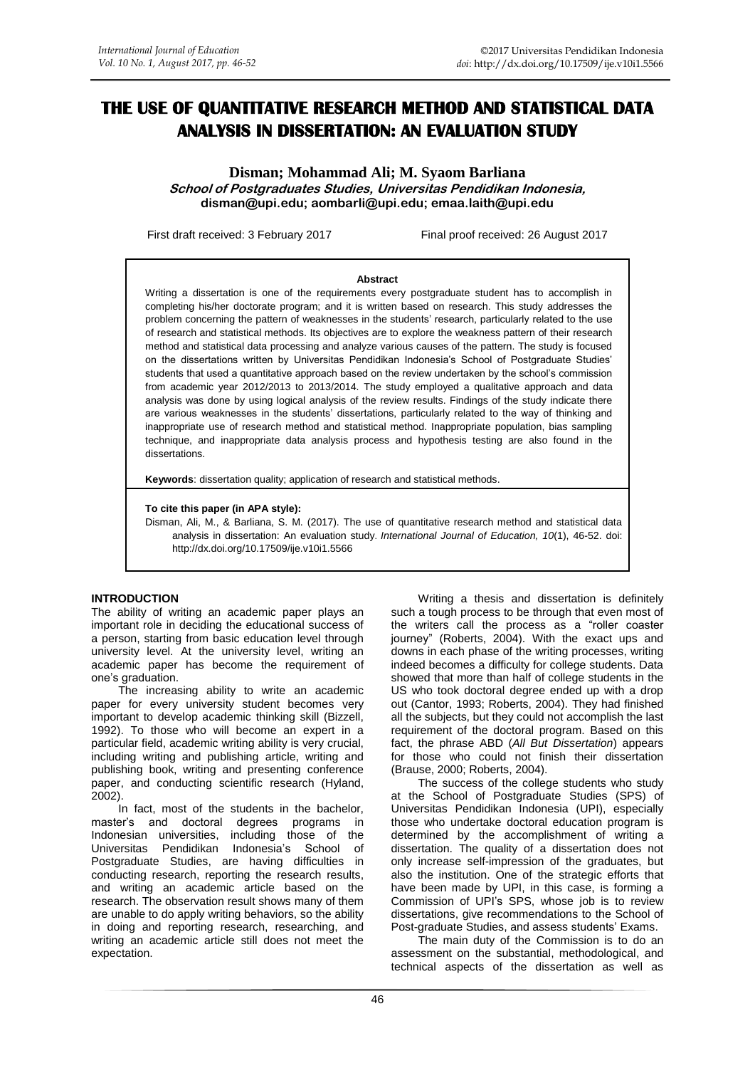# **THE USE OF QUANTITATIVE RESEARCH METHOD AND STATISTICAL DATA ANALYSIS IN DISSERTATION: AN EVALUATION STUDY**

**Disman; Mohammad Ali; M. Syaom Barliana School of Postgraduates Studies, Universitas Pendidikan Indonesia, disman@upi.edu; [aombarli@upi.edu;](mailto:aombarli@upi.edu) emaa.laith@upi.edu**

First draft received: 3 February 2017 Final proof received: 26 August 2017

#### **Abstract**

Writing a dissertation is one of the requirements every postgraduate student has to accomplish in completing his/her doctorate program; and it is written based on research. This study addresses the problem concerning the pattern of weaknesses in the students' research, particularly related to the use of research and statistical methods. Its objectives are to explore the weakness pattern of their research method and statistical data processing and analyze various causes of the pattern. The study is focused on the dissertations written by Universitas Pendidikan Indonesia's School of Postgraduate Studies' students that used a quantitative approach based on the review undertaken by the school's commission from academic year 2012/2013 to 2013/2014. The study employed a qualitative approach and data analysis was done by using logical analysis of the review results. Findings of the study indicate there are various weaknesses in the students' dissertations, particularly related to the way of thinking and inappropriate use of research method and statistical method. Inappropriate population, bias sampling technique, and inappropriate data analysis process and hypothesis testing are also found in the dissertations.

**Keywords**: dissertation quality; application of research and statistical methods.

#### **To cite this paper (in APA style):**

Disman, Ali, M., & Barliana, S. M. (2017). The use of quantitative research method and statistical data analysis in dissertation: An evaluation study. *International Journal of Education, 10*(1), 46-52. doi: http://dx.doi.org/10.17509/ije.v10i1.5566

### **INTRODUCTION**

The ability of writing an academic paper plays an important role in deciding the educational success of a person, starting from basic education level through university level. At the university level, writing an academic paper has become the requirement of one's graduation.

The increasing ability to write an academic paper for every university student becomes very important to develop academic thinking skill (Bizzell, 1992). To those who will become an expert in a particular field, academic writing ability is very crucial, including writing and publishing article, writing and publishing book, writing and presenting conference paper, and conducting scientific research (Hyland, 2002).

In fact, most of the students in the bachelor, master's and doctoral degrees programs in Indonesian universities, including those of the Universitas Pendidikan Indonesia's School of Postgraduate Studies, are having difficulties in conducting research, reporting the research results, and writing an academic article based on the research. The observation result shows many of them are unable to do apply writing behaviors, so the ability in doing and reporting research, researching, and writing an academic article still does not meet the expectation.

Writing a thesis and dissertation is definitely such a tough process to be through that even most of the writers call the process as a "roller coaster journey" (Roberts, 2004). With the exact ups and downs in each phase of the writing processes, writing indeed becomes a difficulty for college students. Data showed that more than half of college students in the US who took doctoral degree ended up with a drop out (Cantor, 1993; Roberts, 2004). They had finished all the subjects, but they could not accomplish the last requirement of the doctoral program. Based on this fact, the phrase ABD (*All But Dissertation*) appears for those who could not finish their dissertation (Brause, 2000; Roberts, 2004).

The success of the college students who study at the School of Postgraduate Studies (SPS) of Universitas Pendidikan Indonesia (UPI), especially those who undertake doctoral education program is determined by the accomplishment of writing a dissertation. The quality of a dissertation does not only increase self-impression of the graduates, but also the institution. One of the strategic efforts that have been made by UPI, in this case, is forming a Commission of UPI's SPS, whose job is to review dissertations, give recommendations to the School of Post-graduate Studies, and assess students' Exams.

The main duty of the Commission is to do an assessment on the substantial, methodological, and technical aspects of the dissertation as well as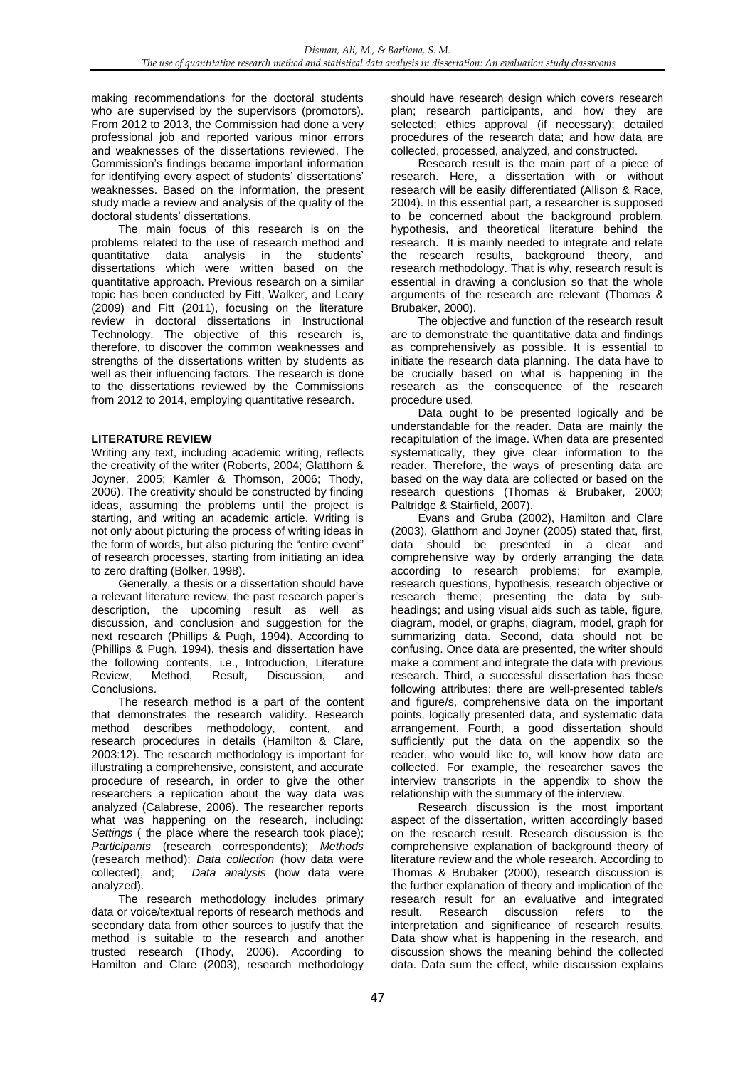making recommendations for the doctoral students who are supervised by the supervisors (promotors). From 2012 to 2013, the Commission had done a very professional job and reported various minor errors and weaknesses of the dissertations reviewed. The Commission's findings became important information for identifying every aspect of students' dissertations' weaknesses. Based on the information, the present study made a review and analysis of the quality of the doctoral students' dissertations.

The main focus of this research is on the problems related to the use of research method and quantitative data analysis in the students' dissertations which were written based on the quantitative approach. Previous research on a similar topic has been conducted by Fitt, Walker, and Leary (2009) and Fitt (2011), focusing on the literature review in doctoral dissertations in Instructional Technology. The objective of this research is, therefore, to discover the common weaknesses and strengths of the dissertations written by students as well as their influencing factors. The research is done to the dissertations reviewed by the Commissions from 2012 to 2014, employing quantitative research.

## **LITERATURE REVIEW**

Writing any text, including academic writing, reflects the creativity of the writer (Roberts, 2004; Glatthorn & Joyner, 2005; Kamler & Thomson, 2006; Thody, 2006). The creativity should be constructed by finding ideas, assuming the problems until the project is starting, and writing an academic article. Writing is not only about picturing the process of writing ideas in the form of words, but also picturing the "entire event" of research processes, starting from initiating an idea to zero drafting (Bolker, 1998).

Generally, a thesis or a dissertation should have a relevant literature review, the past research paper's description, the upcoming result as well as discussion, and conclusion and suggestion for the next research (Phillips & Pugh, 1994). According to (Phillips & Pugh, 1994), thesis and dissertation have the following contents, i.e., Introduction, Literature Review, Method, Result, Discussion, and Conclusions.

The research method is a part of the content that demonstrates the research validity. Research method describes methodology, content, and research procedures in details (Hamilton & Clare, 2003:12). The research methodology is important for illustrating a comprehensive, consistent, and accurate procedure of research, in order to give the other researchers a replication about the way data was analyzed (Calabrese, 2006). The researcher reports what was happening on the research, including: *Settings* ( the place where the research took place); *Participants* (research correspondents); *Methods* (research method); *Data collection* (how data were collected), and; *Data analysis* (how data were analyzed).

The research methodology includes primary data or voice/textual reports of research methods and secondary data from other sources to justify that the method is suitable to the research and another trusted research (Thody, 2006). According to Hamilton and Clare (2003), research methodology

should have research design which covers research plan; research participants, and how they are selected; ethics approval (if necessary); detailed procedures of the research data; and how data are collected, processed, analyzed, and constructed.

Research result is the main part of a piece of research. Here, a dissertation with or without research will be easily differentiated (Allison & Race, 2004). In this essential part, a researcher is supposed to be concerned about the background problem, hypothesis, and theoretical literature behind the research. It is mainly needed to integrate and relate the research results, background theory, and research methodology. That is why, research result is essential in drawing a conclusion so that the whole arguments of the research are relevant (Thomas & Brubaker, 2000).

The objective and function of the research result are to demonstrate the quantitative data and findings as comprehensively as possible. It is essential to initiate the research data planning. The data have to be crucially based on what is happening in the research as the consequence of the research procedure used.

Data ought to be presented logically and be understandable for the reader. Data are mainly the recapitulation of the image. When data are presented systematically, they give clear information to the reader. Therefore, the ways of presenting data are based on the way data are collected or based on the research questions (Thomas & Brubaker, 2000; Paltridge & Stairfield, 2007).

Evans and Gruba (2002), Hamilton and Clare (2003), Glatthorn and Joyner (2005) stated that, first, data should be presented in a clear and comprehensive way by orderly arranging the data according to research problems; for example, research questions, hypothesis, research objective or research theme; presenting the data by subheadings; and using visual aids such as table, figure, diagram, model, or graphs, diagram, model, graph for summarizing data. Second, data should not be confusing. Once data are presented, the writer should make a comment and integrate the data with previous research. Third, a successful dissertation has these following attributes: there are well-presented table/s and figure/s, comprehensive data on the important points, logically presented data, and systematic data arrangement. Fourth, a good dissertation should sufficiently put the data on the appendix so the reader, who would like to, will know how data are collected. For example, the researcher saves the interview transcripts in the appendix to show the relationship with the summary of the interview.

Research discussion is the most important aspect of the dissertation, written accordingly based on the research result. Research discussion is the comprehensive explanation of background theory of literature review and the whole research. According to Thomas & Brubaker (2000), research discussion is the further explanation of theory and implication of the research result for an evaluative and integrated result. Research discussion refers to the interpretation and significance of research results. Data show what is happening in the research, and discussion shows the meaning behind the collected data. Data sum the effect, while discussion explains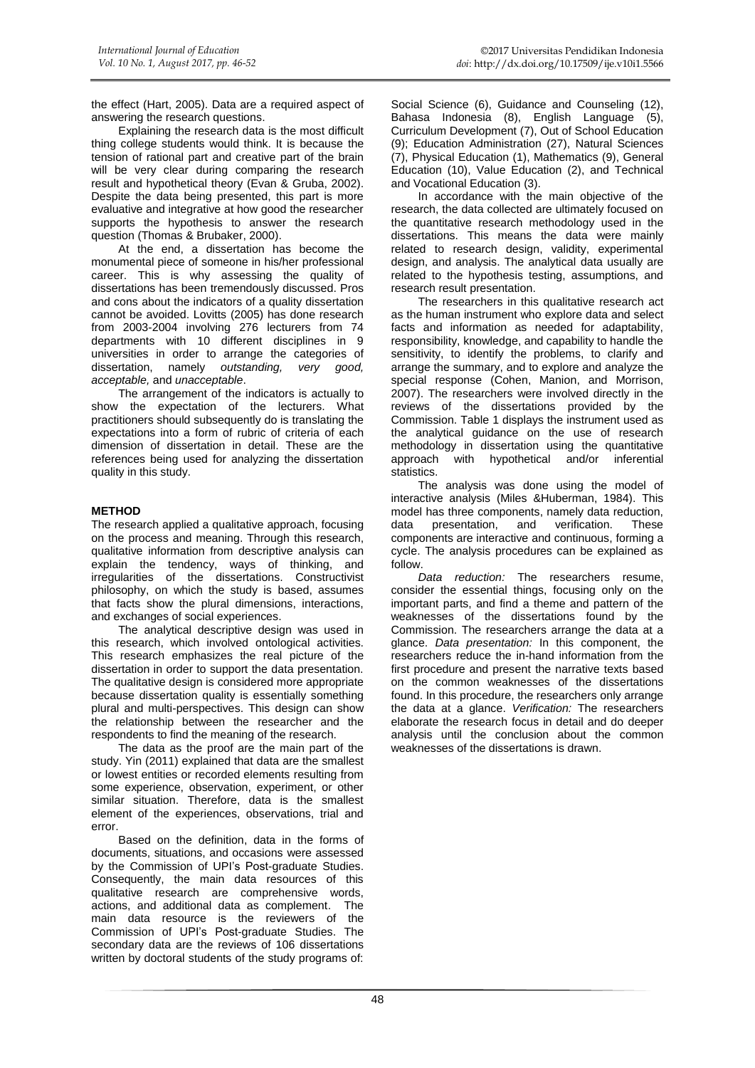the effect (Hart, 2005). Data are a required aspect of answering the research questions.

Explaining the research data is the most difficult thing college students would think. It is because the tension of rational part and creative part of the brain will be very clear during comparing the research result and hypothetical theory (Evan & Gruba, 2002). Despite the data being presented, this part is more evaluative and integrative at how good the researcher supports the hypothesis to answer the research question (Thomas & Brubaker, 2000).

At the end, a dissertation has become the monumental piece of someone in his/her professional career. This is why assessing the quality of dissertations has been tremendously discussed. Pros and cons about the indicators of a quality dissertation cannot be avoided. Lovitts (2005) has done research from 2003-2004 involving 276 lecturers from 74 departments with 10 different disciplines in 9 universities in order to arrange the categories of dissertation, namely *outstanding, very good, acceptable,* and *unacceptable*.

The arrangement of the indicators is actually to show the expectation of the lecturers. What practitioners should subsequently do is translating the expectations into a form of rubric of criteria of each dimension of dissertation in detail. These are the references being used for analyzing the dissertation quality in this study.

## **METHOD**

The research applied a qualitative approach, focusing on the process and meaning. Through this research, qualitative information from descriptive analysis can explain the tendency, ways of thinking, and irregularities of the dissertations. Constructivist philosophy, on which the study is based, assumes that facts show the plural dimensions, interactions, and exchanges of social experiences.

The analytical descriptive design was used in this research, which involved ontological activities. This research emphasizes the real picture of the dissertation in order to support the data presentation. The qualitative design is considered more appropriate because dissertation quality is essentially something plural and multi-perspectives. This design can show the relationship between the researcher and the respondents to find the meaning of the research.

The data as the proof are the main part of the study. Yin (2011) explained that data are the smallest or lowest entities or recorded elements resulting from some experience, observation, experiment, or other similar situation. Therefore, data is the smallest element of the experiences, observations, trial and error.

Based on the definition, data in the forms of documents, situations, and occasions were assessed by the Commission of UPI's Post-graduate Studies. Consequently, the main data resources of this qualitative research are comprehensive words, actions, and additional data as complement. The main data resource is the reviewers of the Commission of UPI's Post-graduate Studies. The secondary data are the reviews of 106 dissertations written by doctoral students of the study programs of:

Social Science (6), Guidance and Counseling (12), Bahasa Indonesia (8), English Language (5), Curriculum Development (7), Out of School Education (9); Education Administration (27), Natural Sciences (7), Physical Education (1), Mathematics (9), General Education (10), Value Education (2), and Technical and Vocational Education (3).

In accordance with the main objective of the research, the data collected are ultimately focused on the quantitative research methodology used in the dissertations. This means the data were mainly related to research design, validity, experimental design, and analysis. The analytical data usually are related to the hypothesis testing, assumptions, and research result presentation.

The researchers in this qualitative research act as the human instrument who explore data and select facts and information as needed for adaptability, responsibility, knowledge, and capability to handle the sensitivity, to identify the problems, to clarify and arrange the summary, and to explore and analyze the special response (Cohen, Manion, and Morrison, 2007). The researchers were involved directly in the reviews of the dissertations provided by the Commission. Table 1 displays the instrument used as the analytical guidance on the use of research methodology in dissertation using the quantitative approach with hypothetical and/or inferential statistics.

The analysis was done using the model of interactive analysis (Miles &Huberman, 1984). This model has three components, namely data reduction, data presentation, and verification. These components are interactive and continuous, forming a cycle. The analysis procedures can be explained as follow.

*Data reduction:* The researchers resume, consider the essential things, focusing only on the important parts, and find a theme and pattern of the weaknesses of the dissertations found by the Commission. The researchers arrange the data at a glance. *Data presentation:* In this component, the researchers reduce the in-hand information from the first procedure and present the narrative texts based on the common weaknesses of the dissertations found. In this procedure, the researchers only arrange the data at a glance. *Verification:* The researchers elaborate the research focus in detail and do deeper analysis until the conclusion about the common weaknesses of the dissertations is drawn.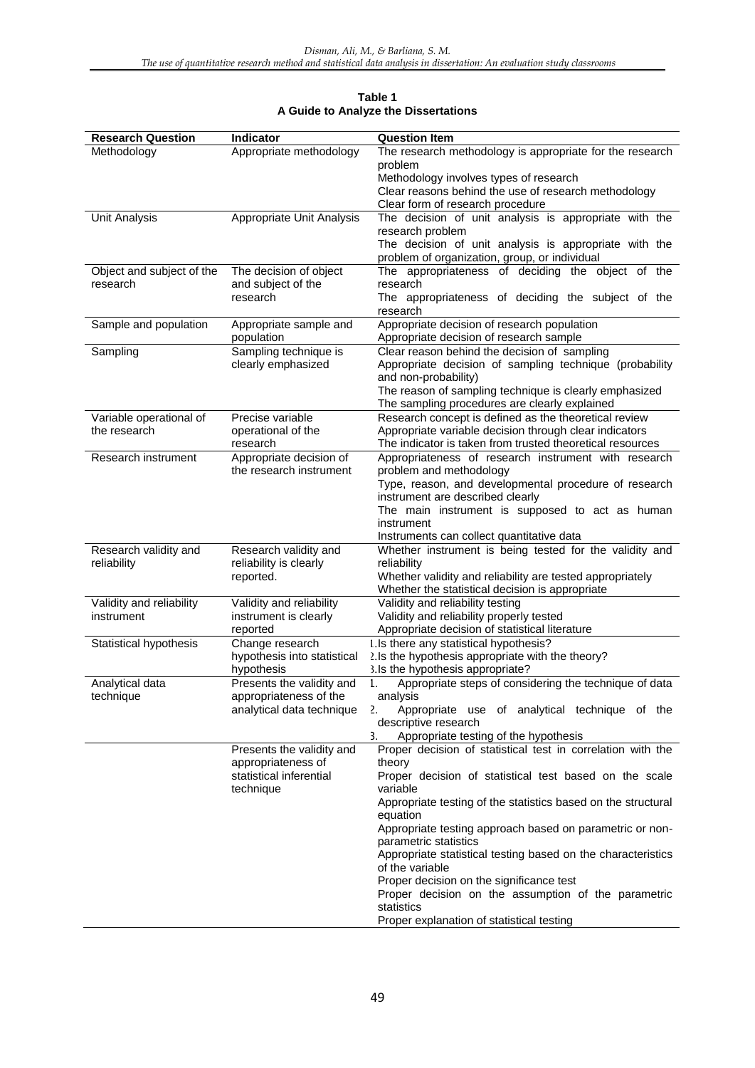| <b>Research Question</b>  | <b>Indicator</b>                            | <b>Question Item</b>                                                                    |
|---------------------------|---------------------------------------------|-----------------------------------------------------------------------------------------|
| Methodology               | Appropriate methodology                     | The research methodology is appropriate for the research                                |
|                           |                                             | problem                                                                                 |
|                           |                                             | Methodology involves types of research                                                  |
|                           |                                             | Clear reasons behind the use of research methodology                                    |
|                           |                                             | Clear form of research procedure                                                        |
| <b>Unit Analysis</b>      | Appropriate Unit Analysis                   | The decision of unit analysis is appropriate with the                                   |
|                           |                                             | research problem                                                                        |
|                           |                                             | The decision of unit analysis is appropriate with the                                   |
|                           |                                             | problem of organization, group, or individual                                           |
| Object and subject of the | The decision of object                      | The appropriateness of deciding the object of the                                       |
| research                  | and subject of the                          | research                                                                                |
|                           | research                                    | The appropriateness of deciding the subject of the                                      |
|                           |                                             | research                                                                                |
| Sample and population     | Appropriate sample and                      | Appropriate decision of research population                                             |
|                           | population                                  | Appropriate decision of research sample<br>Clear reason behind the decision of sampling |
| Sampling                  | Sampling technique is<br>clearly emphasized | Appropriate decision of sampling technique (probability                                 |
|                           |                                             | and non-probability)                                                                    |
|                           |                                             | The reason of sampling technique is clearly emphasized                                  |
|                           |                                             | The sampling procedures are clearly explained                                           |
| Variable operational of   | Precise variable                            | Research concept is defined as the theoretical review                                   |
| the research              | operational of the                          | Appropriate variable decision through clear indicators                                  |
|                           | research                                    | The indicator is taken from trusted theoretical resources                               |
| Research instrument       | Appropriate decision of                     | Appropriateness of research instrument with research                                    |
|                           | the research instrument                     | problem and methodology                                                                 |
|                           |                                             | Type, reason, and developmental procedure of research                                   |
|                           |                                             | instrument are described clearly                                                        |
|                           |                                             | The main instrument is supposed to act as human                                         |
|                           |                                             | instrument                                                                              |
|                           |                                             | Instruments can collect quantitative data                                               |
| Research validity and     | Research validity and                       | Whether instrument is being tested for the validity and                                 |
| reliability               | reliability is clearly                      | reliability                                                                             |
|                           | reported.                                   | Whether validity and reliability are tested appropriately                               |
|                           |                                             | Whether the statistical decision is appropriate                                         |
| Validity and reliability  | Validity and reliability                    | Validity and reliability testing                                                        |
| instrument                | instrument is clearly                       | Validity and reliability properly tested                                                |
|                           | reported                                    | Appropriate decision of statistical literature                                          |
| Statistical hypothesis    | Change research                             | 1.Is there any statistical hypothesis?                                                  |
|                           | hypothesis into statistical                 | 2. Is the hypothesis appropriate with the theory?                                       |
|                           | hypothesis                                  | 3.Is the hypothesis appropriate?                                                        |
| Analytical data           | Presents the validity and                   | Appropriate steps of considering the technique of data<br>1.                            |
| technique                 | appropriateness of the                      | analysis                                                                                |
|                           | analytical data technique                   | Appropriate use of analytical technique of the<br>2.<br>descriptive research            |
|                           |                                             | 3.<br>Appropriate testing of the hypothesis                                             |
|                           | Presents the validity and                   | Proper decision of statistical test in correlation with the                             |
|                           | appropriateness of                          | theory                                                                                  |
|                           | statistical inferential                     | Proper decision of statistical test based on the scale                                  |
|                           | technique                                   | variable                                                                                |
|                           |                                             | Appropriate testing of the statistics based on the structural                           |
|                           |                                             | equation                                                                                |
|                           |                                             | Appropriate testing approach based on parametric or non-<br>parametric statistics       |
|                           |                                             | Appropriate statistical testing based on the characteristics<br>of the variable         |
|                           |                                             | Proper decision on the significance test                                                |
|                           |                                             | Proper decision on the assumption of the parametric                                     |
|                           |                                             | statistics                                                                              |
|                           |                                             | Proper explanation of statistical testing                                               |

# **Table 1 A Guide to Analyze the Dissertations**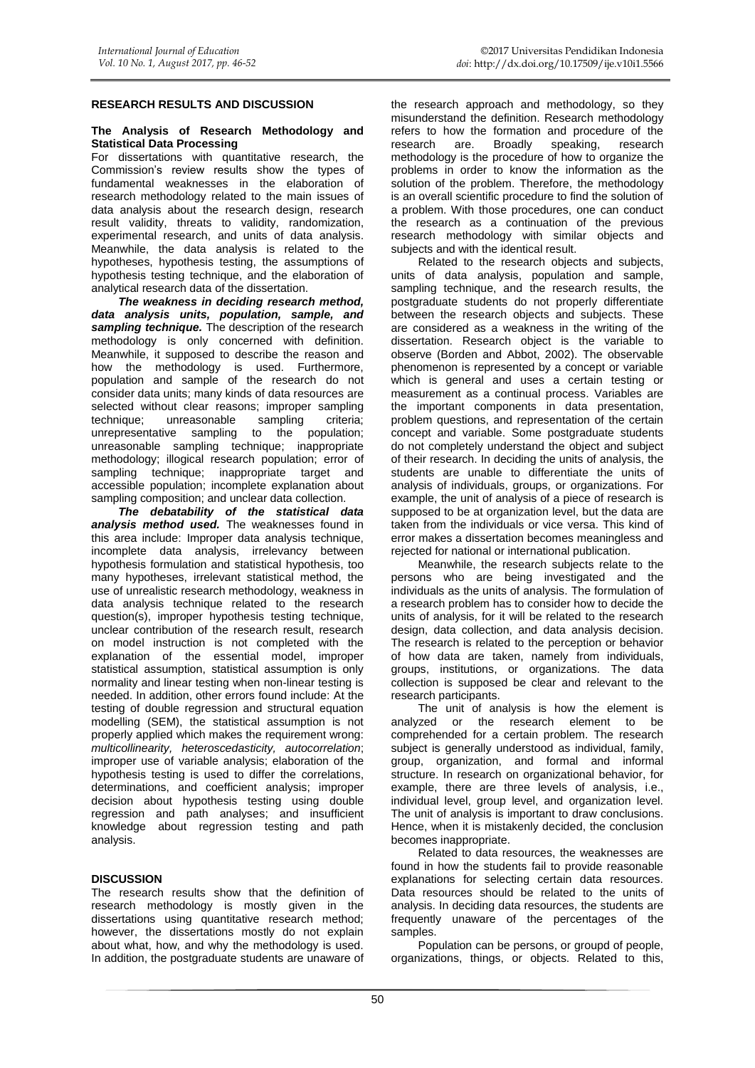# **RESEARCH RESULTS AND DISCUSSION**

#### **The Analysis of Research Methodology and Statistical Data Processing**

For dissertations with quantitative research, the Commission's review results show the types of fundamental weaknesses in the elaboration of research methodology related to the main issues of data analysis about the research design, research result validity, threats to validity, randomization, experimental research, and units of data analysis. Meanwhile, the data analysis is related to the hypotheses, hypothesis testing, the assumptions of hypothesis testing technique, and the elaboration of analytical research data of the dissertation.

*The weakness in deciding research method, data analysis units, population, sample, and sampling technique.* The description of the research methodology is only concerned with definition. Meanwhile, it supposed to describe the reason and how the methodology is used. Furthermore, population and sample of the research do not consider data units; many kinds of data resources are selected without clear reasons; improper sampling technique; unreasonable sampling criteria;<br>unrepresentative sampling to the population; unrepresentative sampling unreasonable sampling technique; inappropriate methodology; illogical research population; error of sampling technique; inappropriate target and accessible population; incomplete explanation about sampling composition; and unclear data collection.

*The debatability of the statistical data analysis method used.* The weaknesses found in this area include: Improper data analysis technique, incomplete data analysis, irrelevancy between hypothesis formulation and statistical hypothesis, too many hypotheses, irrelevant statistical method, the use of unrealistic research methodology, weakness in data analysis technique related to the research question(s), improper hypothesis testing technique, unclear contribution of the research result, research on model instruction is not completed with the explanation of the essential model, improper statistical assumption, statistical assumption is only normality and linear testing when non-linear testing is needed. In addition, other errors found include: At the testing of double regression and structural equation modelling (SEM), the statistical assumption is not properly applied which makes the requirement wrong: *multicollinearity, heteroscedasticity, autocorrelation*; improper use of variable analysis; elaboration of the hypothesis testing is used to differ the correlations, determinations, and coefficient analysis; improper decision about hypothesis testing using double regression and path analyses; and insufficient knowledge about regression testing and path analysis.

### **DISCUSSION**

The research results show that the definition of research methodology is mostly given in the dissertations using quantitative research method; however, the dissertations mostly do not explain about what, how, and why the methodology is used. In addition, the postgraduate students are unaware of the research approach and methodology, so they misunderstand the definition. Research methodology refers to how the formation and procedure of the research are. Broadly speaking, research are. Broadly speaking, methodology is the procedure of how to organize the problems in order to know the information as the solution of the problem. Therefore, the methodology is an overall scientific procedure to find the solution of a problem. With those procedures, one can conduct the research as a continuation of the previous research methodology with similar objects and subjects and with the identical result.

Related to the research objects and subjects, units of data analysis, population and sample, sampling technique, and the research results, the postgraduate students do not properly differentiate between the research objects and subjects. These are considered as a weakness in the writing of the dissertation. Research object is the variable to observe (Borden and Abbot, 2002). The observable phenomenon is represented by a concept or variable which is general and uses a certain testing or measurement as a continual process. Variables are the important components in data presentation, problem questions, and representation of the certain concept and variable. Some postgraduate students do not completely understand the object and subject of their research. In deciding the units of analysis, the students are unable to differentiate the units of analysis of individuals, groups, or organizations. For example, the unit of analysis of a piece of research is supposed to be at organization level, but the data are taken from the individuals or vice versa. This kind of error makes a dissertation becomes meaningless and rejected for national or international publication.

Meanwhile, the research subjects relate to the persons who are being investigated and the individuals as the units of analysis. The formulation of a research problem has to consider how to decide the units of analysis, for it will be related to the research design, data collection, and data analysis decision. The research is related to the perception or behavior of how data are taken, namely from individuals, groups, institutions, or organizations. The data collection is supposed be clear and relevant to the research participants.

The unit of analysis is how the element is analyzed or the research element to be comprehended for a certain problem. The research subject is generally understood as individual, family, group, organization, and formal and informal structure. In research on organizational behavior, for example, there are three levels of analysis, i.e., individual level, group level, and organization level. The unit of analysis is important to draw conclusions. Hence, when it is mistakenly decided, the conclusion becomes inappropriate.

Related to data resources, the weaknesses are found in how the students fail to provide reasonable explanations for selecting certain data resources. Data resources should be related to the units of analysis. In deciding data resources, the students are frequently unaware of the percentages of the samples.

Population can be persons, or groupd of people, organizations, things, or objects. Related to this,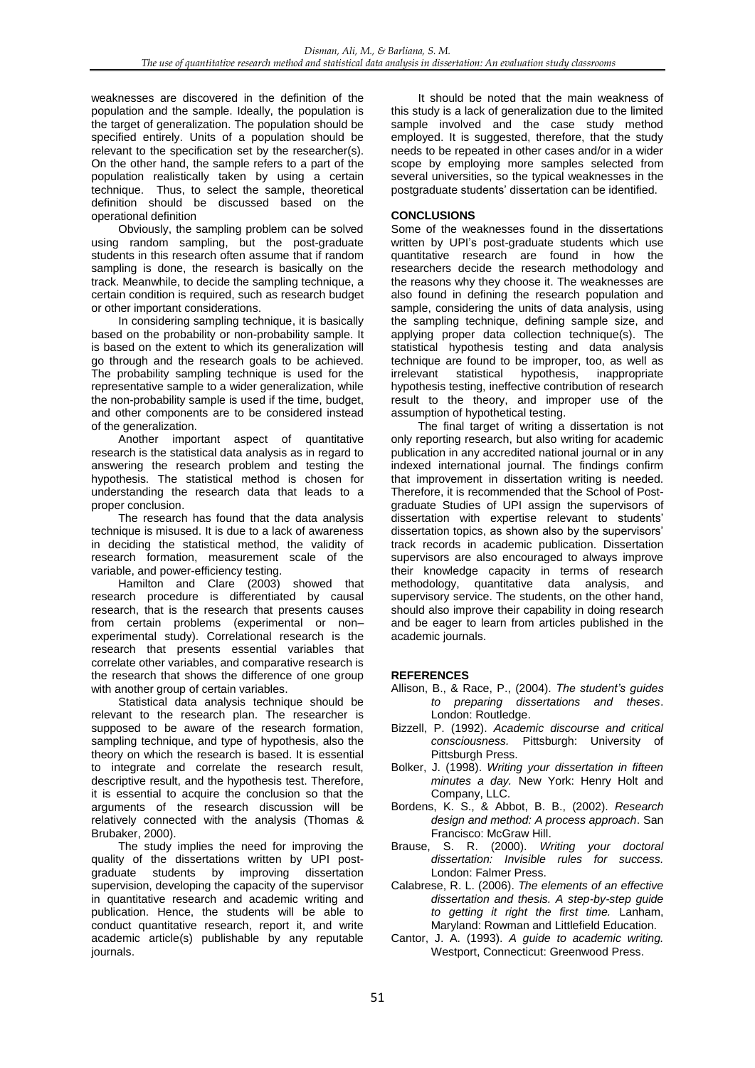weaknesses are discovered in the definition of the population and the sample. Ideally, the population is the target of generalization. The population should be specified entirely. Units of a population should be relevant to the specification set by the researcher(s). On the other hand, the sample refers to a part of the population realistically taken by using a certain technique. Thus, to select the sample, theoretical definition should be discussed based on the operational definition

Obviously, the sampling problem can be solved using random sampling, but the post-graduate students in this research often assume that if random sampling is done, the research is basically on the track. Meanwhile, to decide the sampling technique, a certain condition is required, such as research budget or other important considerations.

In considering sampling technique, it is basically based on the probability or non-probability sample. It is based on the extent to which its generalization will go through and the research goals to be achieved. The probability sampling technique is used for the representative sample to a wider generalization, while the non-probability sample is used if the time, budget, and other components are to be considered instead of the generalization.

Another important aspect of quantitative research is the statistical data analysis as in regard to answering the research problem and testing the hypothesis. The statistical method is chosen for understanding the research data that leads to a proper conclusion.

The research has found that the data analysis technique is misused. It is due to a lack of awareness in deciding the statistical method, the validity of research formation, measurement scale of the variable, and power-efficiency testing.

Hamilton and Clare (2003) showed that research procedure is differentiated by causal research, that is the research that presents causes from certain problems (experimental or non– experimental study). Correlational research is the research that presents essential variables that correlate other variables, and comparative research is the research that shows the difference of one group with another group of certain variables.

Statistical data analysis technique should be relevant to the research plan. The researcher is supposed to be aware of the research formation, sampling technique, and type of hypothesis, also the theory on which the research is based. It is essential to integrate and correlate the research result, descriptive result, and the hypothesis test. Therefore, it is essential to acquire the conclusion so that the arguments of the research discussion will be relatively connected with the analysis (Thomas & Brubaker, 2000).

The study implies the need for improving the quality of the dissertations written by UPI postgraduate students by improving dissertation supervision, developing the capacity of the supervisor in quantitative research and academic writing and publication. Hence, the students will be able to conduct quantitative research, report it, and write academic article(s) publishable by any reputable journals.

It should be noted that the main weakness of this study is a lack of generalization due to the limited sample involved and the case study method employed. It is suggested, therefore, that the study needs to be repeated in other cases and/or in a wider scope by employing more samples selected from several universities, so the typical weaknesses in the postgraduate students' dissertation can be identified.

# **CONCLUSIONS**

Some of the weaknesses found in the dissertations written by UPI's post-graduate students which use quantitative research are found in how the researchers decide the research methodology and the reasons why they choose it. The weaknesses are also found in defining the research population and sample, considering the units of data analysis, using the sampling technique, defining sample size, and applying proper data collection technique(s). The statistical hypothesis testing and data analysis technique are found to be improper, too, as well as irrelevant statistical hypothesis, inappropriate hypothesis testing, ineffective contribution of research result to the theory, and improper use of the assumption of hypothetical testing.

The final target of writing a dissertation is not only reporting research, but also writing for academic publication in any accredited national journal or in any indexed international journal. The findings confirm that improvement in dissertation writing is needed. Therefore, it is recommended that the School of Postgraduate Studies of UPI assign the supervisors of dissertation with expertise relevant to students' dissertation topics, as shown also by the supervisors' track records in academic publication. Dissertation supervisors are also encouraged to always improve their knowledge capacity in terms of research methodology, quantitative data analysis, and supervisory service. The students, on the other hand, should also improve their capability in doing research and be eager to learn from articles published in the academic journals.

### **REFERENCES**

- Allison, B., & Race, P., (2004). *The student's guides to preparing dissertations and theses*. London: Routledge.
- Bizzell, P. (1992). *Academic discourse and critical consciousness.* Pittsburgh: University of Pittsburgh Press.
- Bolker, J. (1998). *Writing your dissertation in fifteen minutes a day.* New York: Henry Holt and Company, LLC.
- Bordens, K. S., & Abbot, B. B., (2002). *Research design and method: A process approach*. San Francisco: McGraw Hill.
- Brause, S. R. (2000). *Writing your doctoral dissertation: Invisible rules for success.*  London: Falmer Press.
- Calabrese, R. L. (2006). *The elements of an effective dissertation and thesis. A step-by-step guide to getting it right the first time.* Lanham, Maryland: Rowman and Littlefield Education.
- Cantor, J. A. (1993). *A guide to academic writing.*  Westport, Connecticut: Greenwood Press.